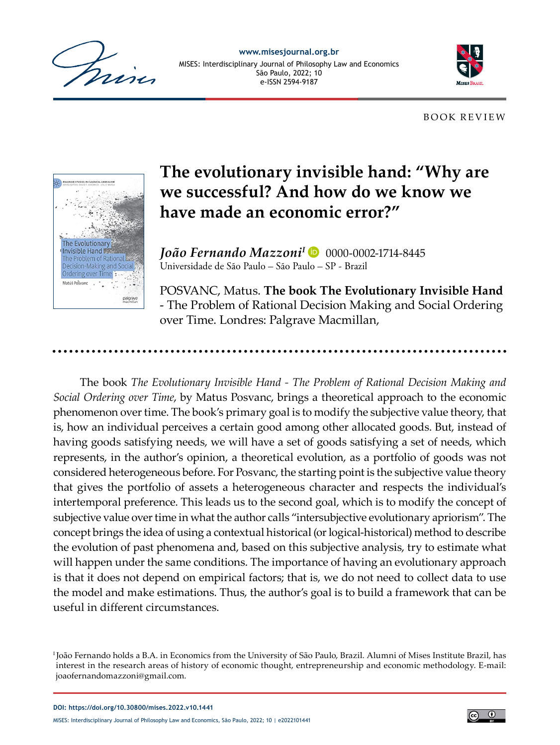

**[www.misesjournal.org.br](https://www.misesjournal.org.br/misesjournal)** MISES: Interdisciplinary Journal of Philosophy Law and Economics São Paulo, 2022; 10 e-ISSN 2594-9187



BOOK REVIEW



## **The evolutionary invisible hand: "Why are we successful? And how do we know we have made an economic error?"**

**João Fernando Mazzoni<sup>I</sup> D** 0000-0002-1714-8445 Universidade de São Paulo – São Paulo – SP - Brazil

POSVANC, Matus. **The book The Evolutionary Invisible Hand** - The Problem of Rational Decision Making and Social Ordering over Time. Londres: Palgrave Macmillan,

The book *The Evolutionary Invisible Hand - The Problem of Rational Decision Making and Social Ordering over Time*, by Matus Posvanc, brings a theoretical approach to the economic phenomenon over time. The book's primary goal is to modify the subjective value theory, that is, how an individual perceives a certain good among other allocated goods. But, instead of having goods satisfying needs, we will have a set of goods satisfying a set of needs, which represents, in the author's opinion, a theoretical evolution, as a portfolio of goods was not considered heterogeneous before. For Posvanc, the starting point is the subjective value theory that gives the portfolio of assets a heterogeneous character and respects the individual's intertemporal preference. This leads us to the second goal, which is to modify the concept of subjective value over time in what the author calls "intersubjective evolutionary apriorism". The concept brings the idea of using a contextual historical (or logical-historical) method to describe the evolution of past phenomena and, based on this subjective analysis, try to estimate what will happen under the same conditions. The importance of having an evolutionary approach is that it does not depend on empirical factors; that is, we do not need to collect data to use the model and make estimations. Thus, the author's goal is to build a framework that can be useful in different circumstances.



I João Fernando holds a B.A. in Economics from the University of São Paulo, Brazil. Alumni of Mises Institute Brazil, has interest in the research areas of history of economic thought, entrepreneurship and economic methodology. E-mail: joaofernandomazzoni@gmail.com.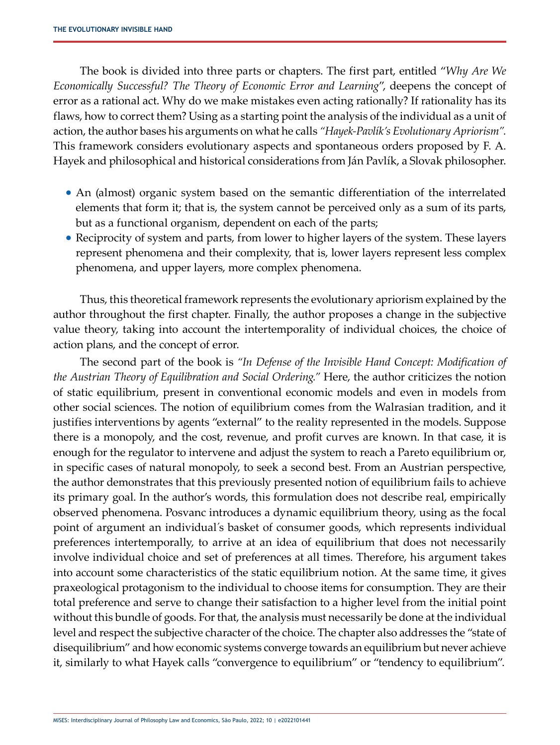The book is divided into three parts or chapters. The first part, entitled "*Why Are We Economically Successful? The Theory of Economic Error and Learning*", deepens the concept of error as a rational act. Why do we make mistakes even acting rationally? If rationality has its flaws, how to correct them? Using as a starting point the analysis of the individual as a unit of action, the author bases his arguments on what he calls *"Hayek-Pavlík's Evolutionary Apriorism".* This framework considers evolutionary aspects and spontaneous orders proposed by F. A. Hayek and philosophical and historical considerations from Ján Pavlík, a Slovak philosopher.

- An (almost) organic system based on the semantic differentiation of the interrelated elements that form it; that is, the system cannot be perceived only as a sum of its parts, but as a functional organism, dependent on each of the parts;
- Reciprocity of system and parts, from lower to higher layers of the system. These layers represent phenomena and their complexity, that is, lower layers represent less complex phenomena, and upper layers, more complex phenomena.

Thus, this theoretical framework represents the evolutionary apriorism explained by the author throughout the first chapter. Finally, the author proposes a change in the subjective value theory, taking into account the intertemporality of individual choices, the choice of action plans, and the concept of error.

The second part of the book is *"In Defense of the Invisible Hand Concept: Modification of the Austrian Theory of Equilibration and Social Ordering."* Here, the author criticizes the notion of static equilibrium, present in conventional economic models and even in models from other social sciences. The notion of equilibrium comes from the Walrasian tradition, and it justifies interventions by agents "external" to the reality represented in the models. Suppose there is a monopoly, and the cost, revenue, and profit curves are known. In that case, it is enough for the regulator to intervene and adjust the system to reach a Pareto equilibrium or, in specific cases of natural monopoly, to seek a second best. From an Austrian perspective, the author demonstrates that this previously presented notion of equilibrium fails to achieve its primary goal. In the author's words, this formulation does not describe real, empirically observed phenomena. Posvanc introduces a dynamic equilibrium theory, using as the focal point of argument an individual´s basket of consumer goods, which represents individual preferences intertemporally, to arrive at an idea of equilibrium that does not necessarily involve individual choice and set of preferences at all times. Therefore, his argument takes into account some characteristics of the static equilibrium notion. At the same time, it gives praxeological protagonism to the individual to choose items for consumption. They are their total preference and serve to change their satisfaction to a higher level from the initial point without this bundle of goods. For that, the analysis must necessarily be done at the individual level and respect the subjective character of the choice. The chapter also addresses the "state of disequilibrium" and how economic systems converge towards an equilibrium but never achieve it, similarly to what Hayek calls "convergence to equilibrium" or "tendency to equilibrium".